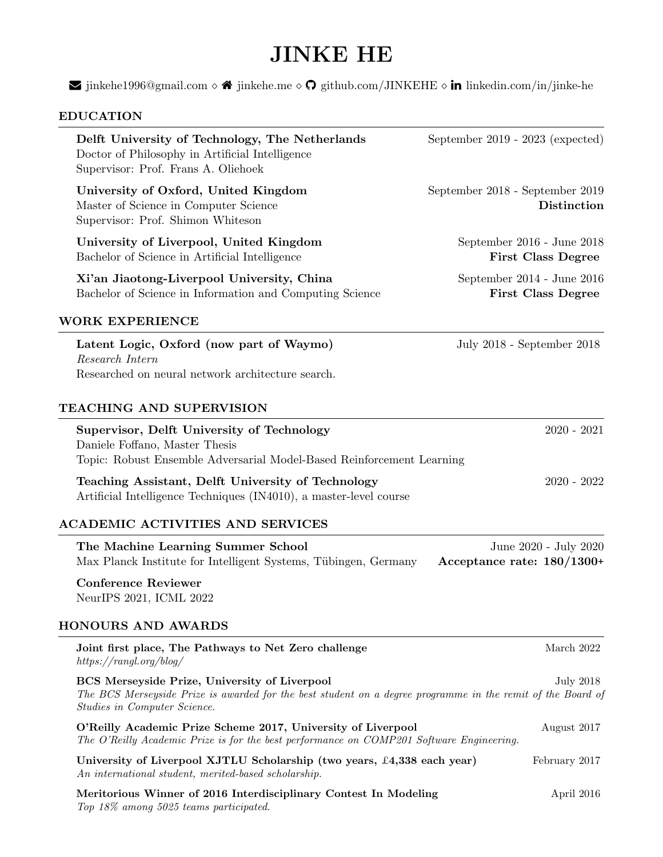## JINKE HE

 $\blacktriangleright$  [jinkehe1996@gmail.com](mailto:jinkehe1996@gmail.com)  $\diamond \blacktriangleleft$  [jinkehe.me](https://jinkehe.me)  $\diamond \heartsuit$  [github.com/JINKEHE](https://github.com/JINKEHE)  $\diamond$  in [linkedin.com/in/jinke-he](https://www.linkedin.com/in/jinke-he/)

## EDUCATION

| Delft University of Technology, The Netherlands<br>Doctor of Philosophy in Artificial Intelligence<br>Supervisor: Prof. Frans A. Oliehoek                                                    | September $2019 - 2023$ (expected)                      |
|----------------------------------------------------------------------------------------------------------------------------------------------------------------------------------------------|---------------------------------------------------------|
| University of Oxford, United Kingdom<br>Master of Science in Computer Science<br>Supervisor: Prof. Shimon Whiteson                                                                           | September 2018 - September 2019<br>Distinction          |
| University of Liverpool, United Kingdom<br>Bachelor of Science in Artificial Intelligence                                                                                                    | September 2016 - June 2018<br><b>First Class Degree</b> |
| Xi'an Jiaotong-Liverpool University, China<br>Bachelor of Science in Information and Computing Science                                                                                       | September 2014 - June 2016<br><b>First Class Degree</b> |
| WORK EXPERIENCE                                                                                                                                                                              |                                                         |
| Latent Logic, Oxford (now part of Waymo)<br>Research Intern<br>Researched on neural network architecture search.                                                                             | July 2018 - September 2018                              |
| TEACHING AND SUPERVISION                                                                                                                                                                     |                                                         |
| Supervisor, Delft University of Technology<br>Daniele Foffano, Master Thesis<br>Topic: Robust Ensemble Adversarial Model-Based Reinforcement Learning                                        | $2020 - 2021$                                           |
| Teaching Assistant, Delft University of Technology<br>Artificial Intelligence Techniques (IN4010), a master-level course                                                                     | $2020 - 2022$                                           |
| ACADEMIC ACTIVITIES AND SERVICES                                                                                                                                                             |                                                         |
| The Machine Learning Summer School<br>Max Planck Institute for Intelligent Systems, Tübingen, Germany                                                                                        | June 2020 - July 2020<br>Acceptance rate: $180/1300+$   |
| <b>Conference Reviewer</b><br>NeurIPS 2021, ICML 2022                                                                                                                                        |                                                         |
| <b>HONOURS AND AWARDS</b>                                                                                                                                                                    |                                                         |
| Joint first place, The Pathways to Net Zero challenge<br>https://rangl.org/blog/                                                                                                             | March 2022                                              |
| BCS Merseyside Prize, University of Liverpool<br>The BCS Merseyside Prize is awarded for the best student on a degree programme in the remit of the Board of<br>Studies in Computer Science. | <b>July 2018</b>                                        |
| O'Reilly Academic Prize Scheme 2017, University of Liverpool<br>The O'Reilly Academic Prize is for the best performance on COMP201 Software Engineering.                                     | August 2017                                             |
| University of Liverpool XJTLU Scholarship (two years, £4,338 each year)<br>An international student, merited-based scholarship.                                                              | February 2017                                           |
| Meritorious Winner of 2016 Interdisciplinary Contest In Modeling<br>Top 18% among 5025 teams participated.                                                                                   | April 2016                                              |